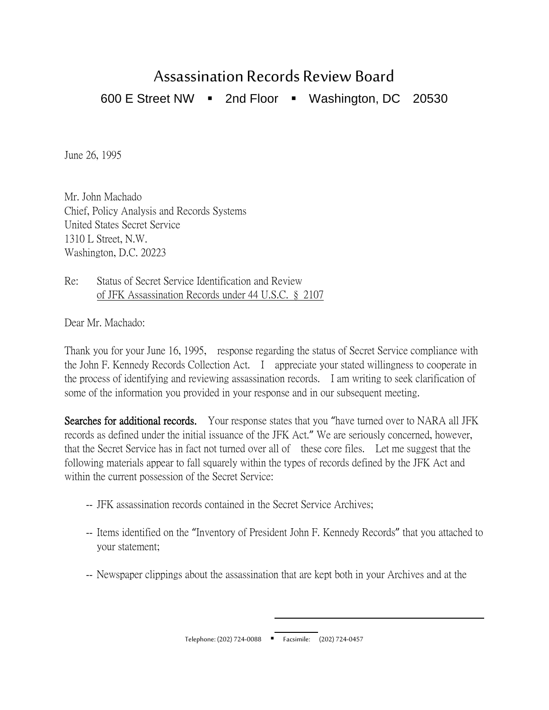## Assassination Records Review Board

600 E Street NW 2nd Floor Washington, DC 20530

June 26, 1995

Mr. John Machado Chief, Policy Analysis and Records Systems United States Secret Service 1310 L Street, N.W. Washington, D.C. 20223

Re: Status of Secret Service Identification and Review of JFK Assassination Records under 44 U.S.C. § 2107

Dear Mr. Machado:

Thank you for your June 16, 1995, response regarding the status of Secret Service compliance with the John F. Kennedy Records Collection Act. I appreciate your stated willingness to cooperate in the process of identifying and reviewing assassination records. I am writing to seek clarification of some of the information you provided in your response and in our subsequent meeting.

Searches for additional records. Your response states that you "have turned over to NARA all JFK records as defined under the initial issuance of the JFK Act." We are seriously concerned, however, that the Secret Service has in fact not turned over all of these core files. Let me suggest that the following materials appear to fall squarely within the types of records defined by the JFK Act and within the current possession of the Secret Service:

- -- JFK assassination records contained in the Secret Service Archives;
- -- Items identified on the "Inventory of President John F. Kennedy Records" that you attached to your statement;
- -- Newspaper clippings about the assassination that are kept both in your Archives and at the

 $\overline{a}$ Telephone: (202) 724-0088 Facsimile: (202) 724-0457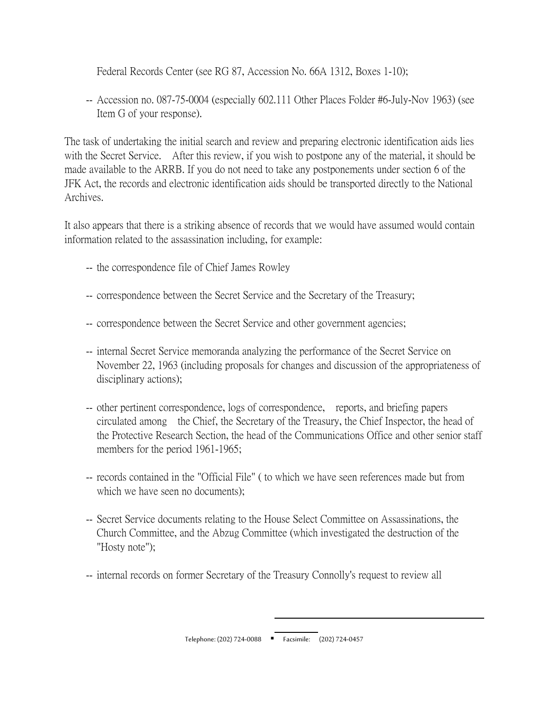Federal Records Center (see RG 87, Accession No. 66A 1312, Boxes 1-10);

 -- Accession no. 087-75-0004 (especially 602.111 Other Places Folder #6-July-Nov 1963) (see Item G of your response).

The task of undertaking the initial search and review and preparing electronic identification aids lies with the Secret Service. After this review, if you wish to postpone any of the material, it should be made available to the ARRB. If you do not need to take any postponements under section 6 of the JFK Act, the records and electronic identification aids should be transported directly to the National Archives.

It also appears that there is a striking absence of records that we would have assumed would contain information related to the assassination including, for example:

- -- the correspondence file of Chief James Rowley
- -- correspondence between the Secret Service and the Secretary of the Treasury;
- -- correspondence between the Secret Service and other government agencies;
- -- internal Secret Service memoranda analyzing the performance of the Secret Service on November 22, 1963 (including proposals for changes and discussion of the appropriateness of disciplinary actions);
- -- other pertinent correspondence, logs of correspondence, reports, and briefing papers circulated among the Chief, the Secretary of the Treasury, the Chief Inspector, the head of the Protective Research Section, the head of the Communications Office and other senior staff members for the period 1961-1965;
- -- records contained in the "Official File" ( to which we have seen references made but from which we have seen no documents);
- -- Secret Service documents relating to the House Select Committee on Assassinations, the Church Committee, and the Abzug Committee (which investigated the destruction of the "Hosty note");
- -- internal records on former Secretary of the Treasury Connolly's request to review all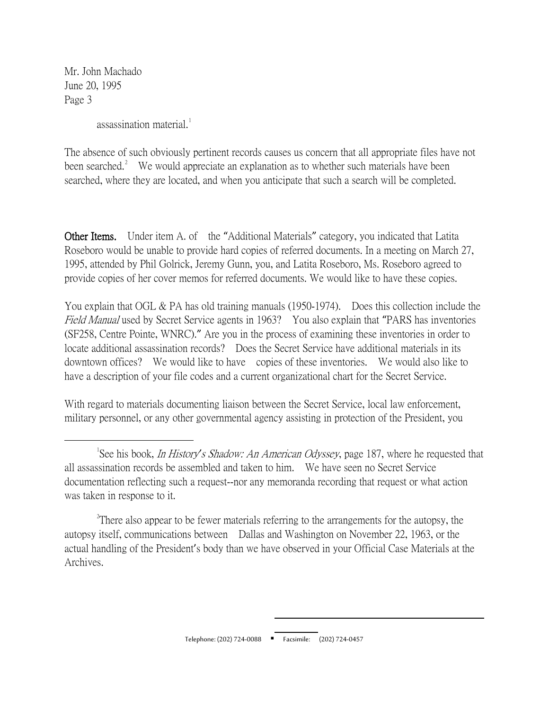Mr. John Machado June 20, 1995 Page 3

assassination material.<sup>[1](#page-2-0)</sup>

The absence of such obviously pertinent records causes us concern that all appropriate files have not been searched.<sup>[2](#page-2-1)</sup> We would appreciate an explanation as to whether such materials have been searched, where they are located, and when you anticipate that such a search will be completed.

Other Items. Under item A. of the "Additional Materials" category, you indicated that Latita Roseboro would be unable to provide hard copies of referred documents. In a meeting on March 27, 1995, attended by Phil Golrick, Jeremy Gunn, you, and Latita Roseboro, Ms. Roseboro agreed to provide copies of her cover memos for referred documents. We would like to have these copies.

You explain that OGL & PA has old training manuals (1950-1974). Does this collection include the Field Manual used by Secret Service agents in 1963? You also explain that "PARS has inventories (SF258, Centre Pointe, WNRC)." Are you in the process of examining these inventories in order to locate additional assassination records? Does the Secret Service have additional materials in its downtown offices? We would like to have copies of these inventories. We would also like to have a description of your file codes and a current organizational chart for the Secret Service.

With regard to materials documenting liaison between the Secret Service, local law enforcement, military personnel, or any other governmental agency assisting in protection of the President, you

<span id="page-2-0"></span> $\overline{\phantom{a}}$ See his book, In History*'*s Shadow: An American Odyssey, page 187, where he requested that all assassination records be assembled and taken to him. We have seen no Secret Service documentation reflecting such a request--nor any memoranda recording that request or what action was taken in response to it.

<span id="page-2-1"></span><sup>&</sup>lt;sup>2</sup> There also appear to be fewer materials referring to the arrangements for the autopsy, the autopsy itself, communications between Dallas and Washington on November 22, 1963, or the actual handling of the President's body than we have observed in your Official Case Materials at the Archives.